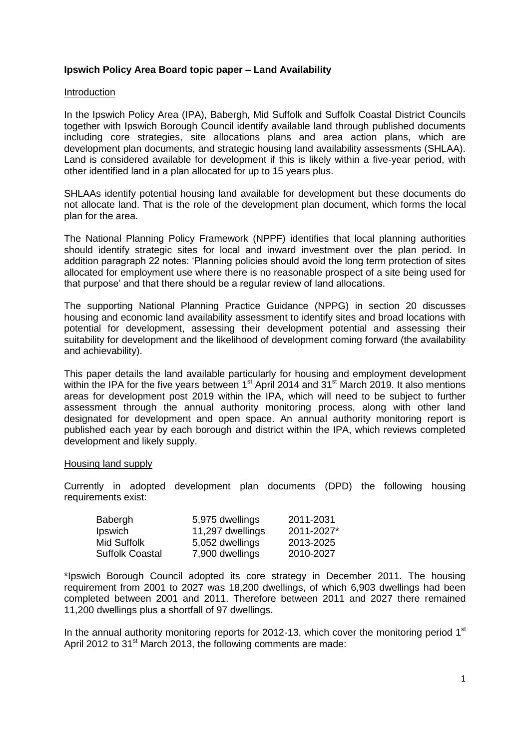## **Ipswich Policy Area Board topic paper – Land Availability**

### Introduction

In the Ipswich Policy Area (IPA), Babergh, Mid Suffolk and Suffolk Coastal District Councils together with Ipswich Borough Council identify available land through published documents including core strategies, site allocations plans and area action plans, which are development plan documents, and strategic housing land availability assessments (SHLAA). Land is considered available for development if this is likely within a five-year period, with other identified land in a plan allocated for up to 15 years plus.

SHLAAs identify potential housing land available for development but these documents do not allocate land. That is the role of the development plan document, which forms the local plan for the area.

The National Planning Policy Framework (NPPF) identifies that local planning authorities should identify strategic sites for local and inward investment over the plan period. In addition paragraph 22 notes: 'Planning policies should avoid the long term protection of sites allocated for employment use where there is no reasonable prospect of a site being used for that purpose' and that there should be a regular review of land allocations.

The supporting National Planning Practice Guidance (NPPG) in section 20 discusses housing and economic land availability assessment to identify sites and broad locations with potential for development, assessing their development potential and assessing their suitability for development and the likelihood of development coming forward (the availability and achievability).

This paper details the land available particularly for housing and employment development within the IPA for the five years between 1<sup>st</sup> April 2014 and 31<sup>st</sup> March 2019. It also mentions areas for development post 2019 within the IPA, which will need to be subject to further assessment through the annual authority monitoring process, along with other land designated for development and open space. An annual authority monitoring report is published each year by each borough and district within the IPA, which reviews completed development and likely supply.

#### Housing land supply

Currently in adopted development plan documents (DPD) the following housing requirements exist:

| Babergh         | 5,975 dwellings  | 2011-2031  |
|-----------------|------------------|------------|
| Ipswich         | 11,297 dwellings | 2011-2027* |
| Mid Suffolk.    | 5,052 dwellings  | 2013-2025  |
| Suffolk Coastal | 7,900 dwellings  | 2010-2027  |

\*Ipswich Borough Council adopted its core strategy in December 2011. The housing requirement from 2001 to 2027 was 18,200 dwellings, of which 6,903 dwellings had been completed between 2001 and 2011. Therefore between 2011 and 2027 there remained 11,200 dwellings plus a shortfall of 97 dwellings.

In the annual authority monitoring reports for 2012-13, which cover the monitoring period  $1<sup>st</sup>$ April 2012 to 31<sup>st</sup> March 2013, the following comments are made: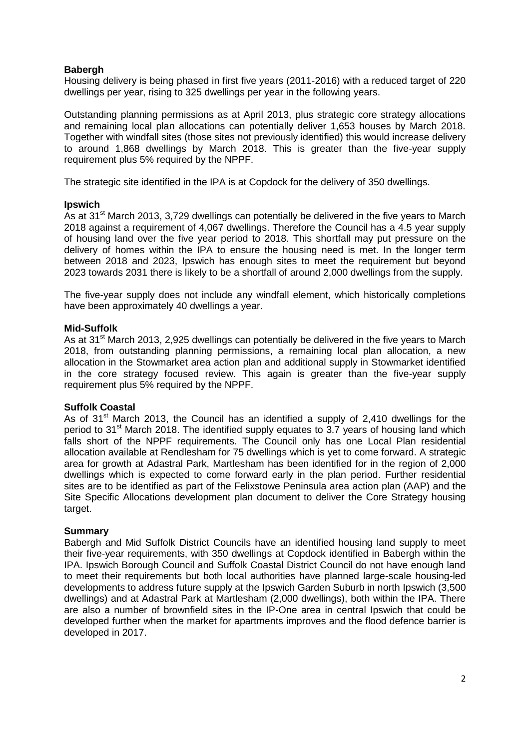## **Babergh**

Housing delivery is being phased in first five years (2011-2016) with a reduced target of 220 dwellings per year, rising to 325 dwellings per year in the following years.

Outstanding planning permissions as at April 2013, plus strategic core strategy allocations and remaining local plan allocations can potentially deliver 1,653 houses by March 2018. Together with windfall sites (those sites not previously identified) this would increase delivery to around 1,868 dwellings by March 2018. This is greater than the five-year supply requirement plus 5% required by the NPPF.

The strategic site identified in the IPA is at Copdock for the delivery of 350 dwellings.

### **Ipswich**

As at 31<sup>st</sup> March 2013, 3,729 dwellings can potentially be delivered in the five years to March 2018 against a requirement of 4,067 dwellings. Therefore the Council has a 4.5 year supply of housing land over the five year period to 2018. This shortfall may put pressure on the delivery of homes within the IPA to ensure the housing need is met. In the longer term between 2018 and 2023, Ipswich has enough sites to meet the requirement but beyond 2023 towards 2031 there is likely to be a shortfall of around 2,000 dwellings from the supply.

The five-year supply does not include any windfall element, which historically completions have been approximately 40 dwellings a year.

### **Mid-Suffolk**

As at 31<sup>st</sup> March 2013, 2,925 dwellings can potentially be delivered in the five years to March 2018, from outstanding planning permissions, a remaining local plan allocation, a new allocation in the Stowmarket area action plan and additional supply in Stowmarket identified in the core strategy focused review. This again is greater than the five-year supply requirement plus 5% required by the NPPF.

#### **Suffolk Coastal**

As of  $31<sup>st</sup>$  March 2013, the Council has an identified a supply of 2,410 dwellings for the period to 31<sup>st</sup> March 2018. The identified supply equates to 3.7 years of housing land which falls short of the NPPF requirements. The Council only has one Local Plan residential allocation available at Rendlesham for 75 dwellings which is yet to come forward. A strategic area for growth at Adastral Park, Martlesham has been identified for in the region of 2,000 dwellings which is expected to come forward early in the plan period. Further residential sites are to be identified as part of the Felixstowe Peninsula area action plan (AAP) and the Site Specific Allocations development plan document to deliver the Core Strategy housing target.

#### **Summary**

Babergh and Mid Suffolk District Councils have an identified housing land supply to meet their five-year requirements, with 350 dwellings at Copdock identified in Babergh within the IPA. Ipswich Borough Council and Suffolk Coastal District Council do not have enough land to meet their requirements but both local authorities have planned large-scale housing-led developments to address future supply at the Ipswich Garden Suburb in north Ipswich (3,500 dwellings) and at Adastral Park at Martlesham (2,000 dwellings), both within the IPA. There are also a number of brownfield sites in the IP-One area in central Ipswich that could be developed further when the market for apartments improves and the flood defence barrier is developed in 2017.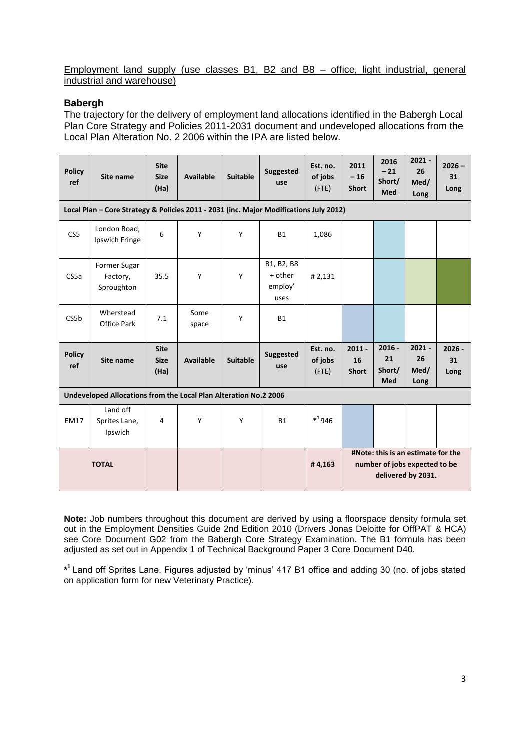### Employment land supply (use classes B1, B2 and B8 – office, light industrial, general industrial and warehouse)

## **Babergh**

The trajectory for the delivery of employment land allocations identified in the Babergh Local Plan Core Strategy and Policies 2011-2031 document and undeveloped allocations from the Local Plan Alteration No. 2 2006 within the IPA are listed below.

| <b>Policy</b><br>ref | Site name                                                                              | <b>Site</b><br><b>Size</b><br>(Ha) | <b>Available</b> | <b>Suitable</b> | <b>Suggested</b><br>use                  | Est. no.<br>of jobs<br>(FTE)    | 2011<br>$-16$<br><b>Short</b>  | 2016<br>$-21$<br>Short/<br><b>Med</b>  | $2021 -$<br>26<br>Med/<br>Long                                                            | $2026 -$<br>31<br>Long |
|----------------------|----------------------------------------------------------------------------------------|------------------------------------|------------------|-----------------|------------------------------------------|---------------------------------|--------------------------------|----------------------------------------|-------------------------------------------------------------------------------------------|------------------------|
|                      | Local Plan - Core Strategy & Policies 2011 - 2031 (inc. Major Modifications July 2012) |                                    |                  |                 |                                          |                                 |                                |                                        |                                                                                           |                        |
| CS5                  | London Road,<br>Ipswich Fringe                                                         | 6                                  | Y                | Y               | <b>B1</b>                                | 1,086                           |                                |                                        |                                                                                           |                        |
| CS5a                 | Former Sugar<br>Factory,<br>Sproughton                                                 | 35.5                               | Y                | Y               | B1, B2, B8<br>+ other<br>employ'<br>uses | #2,131                          |                                |                                        |                                                                                           |                        |
| CS5 <sub>b</sub>     | Wherstead<br><b>Office Park</b>                                                        | 7.1                                | Some<br>space    | Υ               | B1                                       |                                 |                                |                                        |                                                                                           |                        |
| <b>Policy</b><br>ref | Site name                                                                              | <b>Site</b><br><b>Size</b><br>(Ha) | Available        | <b>Suitable</b> | <b>Suggested</b><br>use                  | Est. no.<br>of jobs<br>$($ FTE) | $2011 -$<br>16<br><b>Short</b> | $2016 -$<br>21<br>Short/<br><b>Med</b> | $2021 -$<br>26<br>Med/<br>Long                                                            | $2026 -$<br>31<br>Long |
|                      | Undeveloped Allocations from the Local Plan Alteration No.2 2006                       |                                    |                  |                 |                                          |                                 |                                |                                        |                                                                                           |                        |
| <b>EM17</b>          | Land off<br>Sprites Lane,<br>Ipswich                                                   | 4                                  | Y                | Y               | <b>B1</b>                                | $*^1946$                        |                                |                                        |                                                                                           |                        |
|                      | <b>TOTAL</b>                                                                           |                                    |                  |                 |                                          | #4,163                          |                                |                                        | #Note: this is an estimate for the<br>number of jobs expected to be<br>delivered by 2031. |                        |

**Note:** Job numbers throughout this document are derived by using a floorspace density formula set out in the Employment Densities Guide 2nd Edition 2010 (Drivers Jonas Deloitte for OffPAT & HCA) see Core Document G02 from the Babergh Core Strategy Examination. The B1 formula has been adjusted as set out in Appendix 1 of Technical Background Paper 3 Core Document D40.

**\* 1** Land off Sprites Lane. Figures adjusted by 'minus' 417 B1 office and adding 30 (no. of jobs stated on application form for new Veterinary Practice).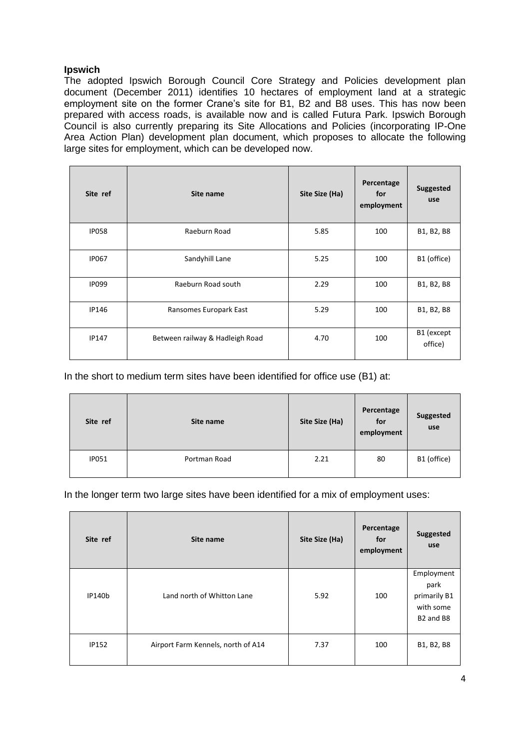# **Ipswich**

The adopted Ipswich Borough Council Core Strategy and Policies development plan document (December 2011) identifies 10 hectares of employment land at a strategic employment site on the former Crane's site for B1, B2 and B8 uses. This has now been prepared with access roads, is available now and is called Futura Park. Ipswich Borough Council is also currently preparing its Site Allocations and Policies (incorporating IP-One Area Action Plan) development plan document, which proposes to allocate the following large sites for employment, which can be developed now.

| Site ref     | Site name                       | Site Size (Ha) | Percentage<br>for<br>employment | <b>Suggested</b><br>use |
|--------------|---------------------------------|----------------|---------------------------------|-------------------------|
| <b>IP058</b> | Raeburn Road                    | 5.85           | 100                             | B1, B2, B8              |
| <b>IP067</b> | Sandyhill Lane                  | 5.25           | 100                             | B1 (office)             |
| <b>IP099</b> | Raeburn Road south              | 2.29           | 100                             | B1, B2, B8              |
| IP146        | Ransomes Europark East          | 5.29           | 100                             | B1, B2, B8              |
| <b>IP147</b> | Between railway & Hadleigh Road | 4.70           | 100                             | B1 (except<br>office)   |

In the short to medium term sites have been identified for office use (B1) at:

| Site ref     | Site name    | Site Size (Ha) | Percentage<br>for<br>employment | <b>Suggested</b><br>use |
|--------------|--------------|----------------|---------------------------------|-------------------------|
| <b>IP051</b> | Portman Road | 2.21           | 80                              | B1 (office)             |

In the longer term two large sites have been identified for a mix of employment uses:

| Site ref      | Site name                          | Site Size (Ha) | Percentage<br>for<br>employment | Suggested<br>use                                                                     |
|---------------|------------------------------------|----------------|---------------------------------|--------------------------------------------------------------------------------------|
| <b>IP140b</b> | Land north of Whitton Lane         | 5.92           | 100                             | Employment<br>park<br>primarily B1<br>with some<br>B <sub>2</sub> and B <sub>8</sub> |
| <b>IP152</b>  | Airport Farm Kennels, north of A14 | 7.37           | 100                             | B1, B2, B8                                                                           |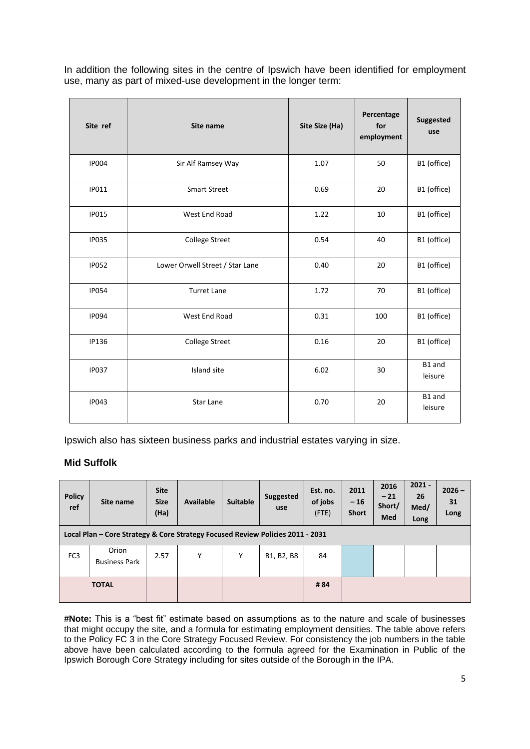In addition the following sites in the centre of Ipswich have been identified for employment use, many as part of mixed-use development in the longer term:

| Site ref     | Site name                       | Site Size (Ha) | Percentage<br>for<br>employment | Suggested<br>use  |
|--------------|---------------------------------|----------------|---------------------------------|-------------------|
| <b>IP004</b> | Sir Alf Ramsey Way              | 1.07           | 50                              | B1 (office)       |
| <b>IP011</b> | <b>Smart Street</b>             | 0.69           | 20                              | B1 (office)       |
| <b>IP015</b> | West End Road                   | 1.22           | 10                              | B1 (office)       |
| <b>IP035</b> | <b>College Street</b>           | 0.54           | 40                              | B1 (office)       |
| <b>IP052</b> | Lower Orwell Street / Star Lane | 0.40           | 20                              | B1 (office)       |
| <b>IP054</b> | <b>Turret Lane</b>              | 1.72           | 70                              | B1 (office)       |
| <b>IP094</b> | West End Road                   | 0.31           | 100                             | B1 (office)       |
| <b>IP136</b> | <b>College Street</b>           | 0.16           | 20                              | B1 (office)       |
| <b>IP037</b> | Island site                     | 6.02           | 30                              | B1 and<br>leisure |
| <b>IP043</b> | <b>Star Lane</b>                | 0.70           | 20                              | B1 and<br>leisure |

Ipswich also has sixteen business parks and industrial estates varying in size.

# **Mid Suffolk**

| <b>Policy</b><br>ref | Site name                                                                      | <b>Site</b><br><b>Size</b><br>(Ha) | Available | <b>Suitable</b> | Suggested<br>use | Est. no.<br>of jobs<br>(FTE) | 2011<br>$-16$<br><b>Short</b> | 2016<br>$-21$<br>Short/<br><b>Med</b> | $2021 -$<br>26<br>Med/<br>Long | $2026 -$<br>31<br>Long |
|----------------------|--------------------------------------------------------------------------------|------------------------------------|-----------|-----------------|------------------|------------------------------|-------------------------------|---------------------------------------|--------------------------------|------------------------|
|                      | Local Plan - Core Strategy & Core Strategy Focused Review Policies 2011 - 2031 |                                    |           |                 |                  |                              |                               |                                       |                                |                        |
| FC <sub>3</sub>      | Orion<br><b>Business Park</b>                                                  | 2.57                               | Υ         | Υ               | B1, B2, B8       | 84                           |                               |                                       |                                |                        |
|                      | <b>TOTAL</b>                                                                   |                                    |           |                 |                  | #84                          |                               |                                       |                                |                        |

**#Note:** This is a "best fit" estimate based on assumptions as to the nature and scale of businesses that might occupy the site, and a formula for estimating employment densities. The table above refers to the Policy FC 3 in the Core Strategy Focused Review. For consistency the job numbers in the table above have been calculated according to the formula agreed for the Examination in Public of the Ipswich Borough Core Strategy including for sites outside of the Borough in the IPA.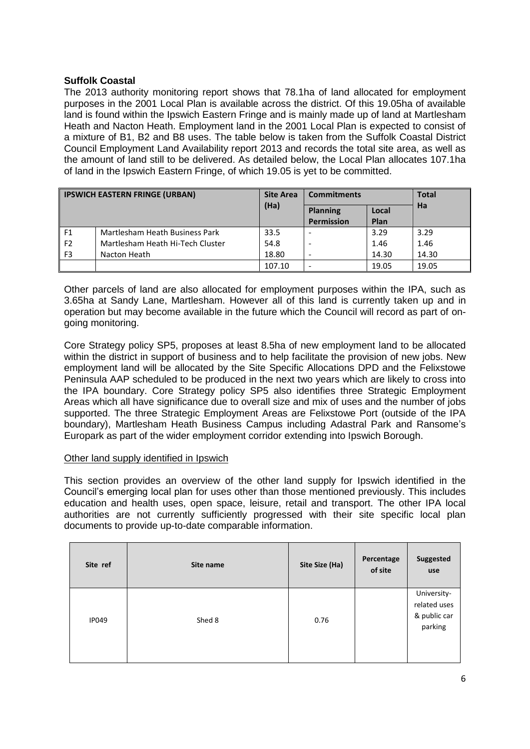## **Suffolk Coastal**

The 2013 authority monitoring report shows that 78.1ha of land allocated for employment purposes in the 2001 Local Plan is available across the district. Of this 19.05ha of available land is found within the Ipswich Eastern Fringe and is mainly made up of land at Martlesham Heath and Nacton Heath. Employment land in the 2001 Local Plan is expected to consist of a mixture of B1, B2 and B8 uses. The table below is taken from the Suffolk Coastal District Council Employment Land Availability report 2013 and records the total site area, as well as the amount of land still to be delivered. As detailed below, the Local Plan allocates 107.1ha of land in the Ipswich Eastern Fringe, of which 19.05 is yet to be committed.

| <b>IPSWICH EASTERN FRINGE (URBAN)</b> |                                  | <b>Site Area</b> | <b>Commitments</b> | <b>Total</b> |       |
|---------------------------------------|----------------------------------|------------------|--------------------|--------------|-------|
|                                       |                                  | (Ha)             | <b>Planning</b>    | Local        | Ha    |
|                                       |                                  |                  | <b>Permission</b>  | Plan         |       |
| F <sub>1</sub>                        | Martlesham Heath Business Park   | 33.5             |                    | 3.29         | 3.29  |
| F <sub>2</sub>                        | Martlesham Heath Hi-Tech Cluster | 54.8             |                    | 1.46         | 1.46  |
| F <sub>3</sub>                        | Nacton Heath                     | 18.80            |                    | 14.30        | 14.30 |
|                                       |                                  | 107.10           | -                  | 19.05        | 19.05 |

Other parcels of land are also allocated for employment purposes within the IPA, such as 3.65ha at Sandy Lane, Martlesham. However all of this land is currently taken up and in operation but may become available in the future which the Council will record as part of ongoing monitoring.

Core Strategy policy SP5, proposes at least 8.5ha of new employment land to be allocated within the district in support of business and to help facilitate the provision of new jobs. New employment land will be allocated by the Site Specific Allocations DPD and the Felixstowe Peninsula AAP scheduled to be produced in the next two years which are likely to cross into the IPA boundary. Core Strategy policy SP5 also identifies three Strategic Employment Areas which all have significance due to overall size and mix of uses and the number of jobs supported. The three Strategic Employment Areas are Felixstowe Port (outside of the IPA boundary), Martlesham Heath Business Campus including Adastral Park and Ransome's Europark as part of the wider employment corridor extending into Ipswich Borough.

#### Other land supply identified in Ipswich

This section provides an overview of the other land supply for Ipswich identified in the Council's emerging local plan for uses other than those mentioned previously. This includes education and health uses, open space, leisure, retail and transport. The other IPA local authorities are not currently sufficiently progressed with their site specific local plan documents to provide up-to-date comparable information.

| Site ref     | Site name | Site Size (Ha) | Percentage<br>of site | <b>Suggested</b><br>use                                |
|--------------|-----------|----------------|-----------------------|--------------------------------------------------------|
| <b>IP049</b> | Shed 8    | 0.76           |                       | University-<br>related uses<br>& public car<br>parking |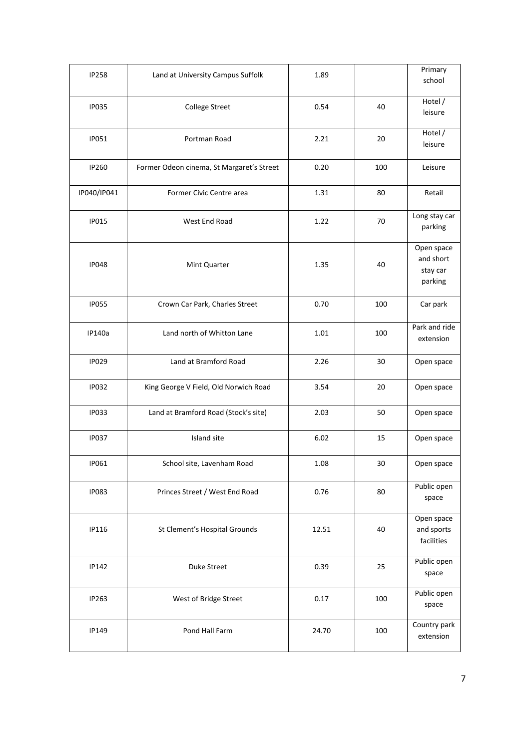| <b>IP258</b> | Land at University Campus Suffolk         | 1.89  |        | Primary<br>school                              |
|--------------|-------------------------------------------|-------|--------|------------------------------------------------|
| <b>IP035</b> | <b>College Street</b>                     | 0.54  | 40     | Hotel /<br>leisure                             |
| <b>IP051</b> | Portman Road                              | 2.21  | 20     | Hotel /<br>leisure                             |
| IP260        | Former Odeon cinema, St Margaret's Street | 0.20  | 100    | Leisure                                        |
| IP040/IP041  | Former Civic Centre area                  | 1.31  | 80     | Retail                                         |
| <b>IP015</b> | West End Road                             | 1.22  | 70     | Long stay car<br>parking                       |
| <b>IP048</b> | 1.35<br>Mint Quarter                      |       |        | Open space<br>and short<br>stay car<br>parking |
| <b>IP055</b> | Crown Car Park, Charles Street            | 0.70  | 100    | Car park                                       |
| IP140a       | Land north of Whitton Lane                | 1.01  | 100    | Park and ride<br>extension                     |
| <b>IP029</b> | Land at Bramford Road                     | 2.26  | 30     | Open space                                     |
| <b>IP032</b> | King George V Field, Old Norwich Road     | 3.54  | 20     | Open space                                     |
| <b>IP033</b> | Land at Bramford Road (Stock's site)      | 2.03  | 50     | Open space                                     |
| <b>IP037</b> | Island site                               | 6.02  | 15     | Open space                                     |
| IP061        | School site, Lavenham Road                | 1.08  | $30\,$ | Open space                                     |
| <b>IP083</b> | Princes Street / West End Road            | 0.76  | 80     | Public open<br>space                           |
| IP116        | St Clement's Hospital Grounds             | 12.51 | 40     | Open space<br>and sports<br>facilities         |
| IP142        | Duke Street                               | 0.39  | 25     | Public open<br>space                           |
| IP263        | West of Bridge Street                     | 0.17  | 100    | Public open<br>space                           |
| IP149        | Pond Hall Farm                            | 24.70 | 100    | Country park<br>extension                      |